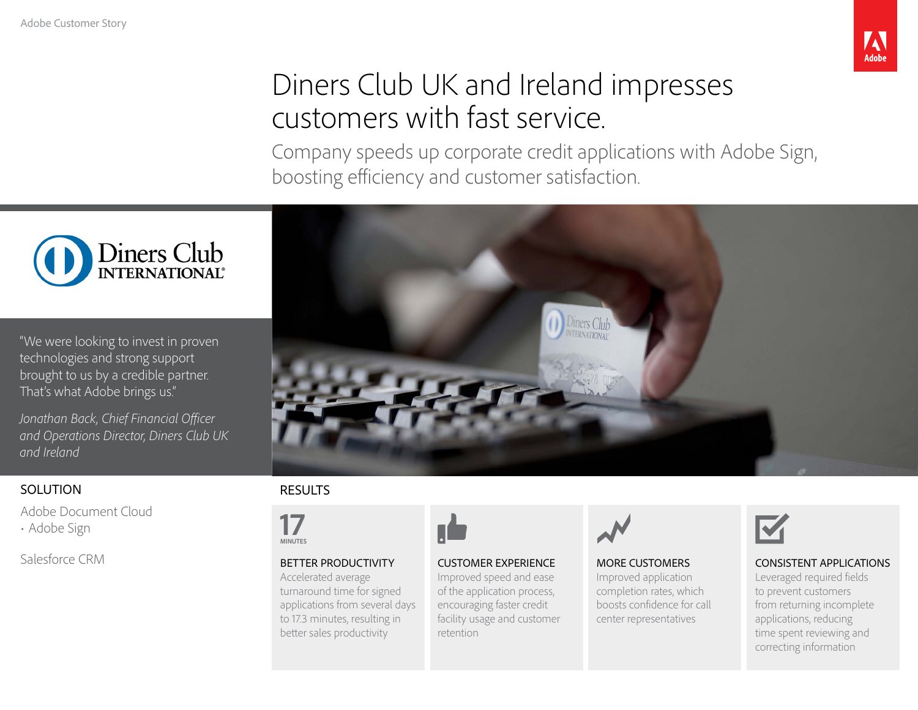

# Diners Club UK and Ireland impresses customers with fast service.

Company speeds up corporate credit applications with Adobe Sign, boosting efficiency and customer satisfaction.



"We were looking to invest in proven technologies and strong support brought to us by a credible partner. That's what Adobe brings us."

*Jonathan Back, Chief Financial Officer and Operations Director, Diners Club UK and Ireland*

### **SOLUTION**

[Adobe Document Cloud](https://acrobat.adobe.com/us/en/) 

• [Adobe Sign](https://acrobat.adobe.com/us/en/sign.html)

Salesforce CRM



### RESULTS



BETTER PRODUCTIVITY

#### Accelerated average turnaround time for signed applications from several days to 17.3 minutes, resulting in better sales productivity



CUSTOMER EXPERIENCE Improved speed and ease of the application process, encouraging faster credit facility usage and customer retention



#### MORE CUSTOMERS Improved application completion rates, which boosts confidence for call center representatives



### CONSISTENT APPLICATIONS

Leveraged required fields to prevent customers from returning incomplete applications, reducing time spent reviewing and correcting information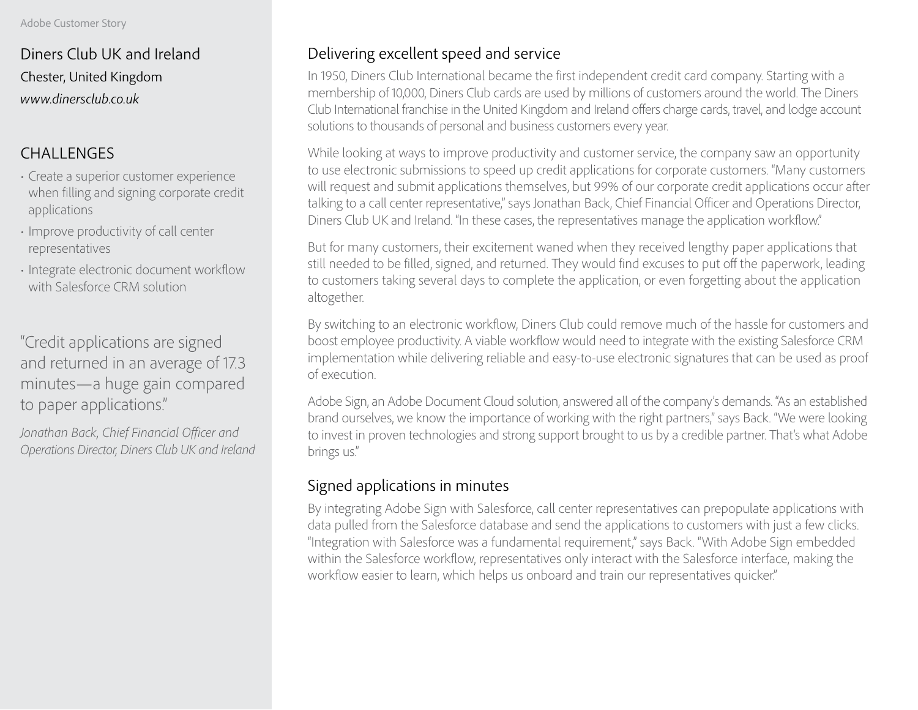Diners Club UK and Ireland Chester, United Kingdom *www.dinersclub.co.uk*

### CHALLENGES

- Create a superior customer experience when filling and signing corporate credit applications
- Improve productivity of call center representatives
- Integrate electronic document workflow with Salesforce CRM solution

"Credit applications are signed and returned in an average of 17.3 minutes—a huge gain compared to paper applications."

*Jonathan Back, Chief Financial Officer and Operations Director, Diners Club UK and Ireland*

# Delivering excellent speed and service

In 1950, Diners Club International became the first independent credit card company. Starting with a membership of 10,000, Diners Club cards are used by millions of customers around the world. The Diners Club International franchise in the United Kingdom and Ireland offers charge cards, travel, and lodge account solutions to thousands of personal and business customers every year.

While looking at ways to improve productivity and customer service, the company saw an opportunity to use electronic submissions to speed up credit applications for corporate customers. "Many customers will request and submit applications themselves, but 99% of our corporate credit applications occur after talking to a call center representative," says Jonathan Back, Chief Financial Officer and Operations Director, Diners Club UK and Ireland. "In these cases, the representatives manage the application workflow."

But for many customers, their excitement waned when they received lengthy paper applications that still needed to be filled, signed, and returned. They would find excuses to put off the paperwork, leading to customers taking several days to complete the application, or even forgetting about the application altogether.

By switching to an electronic workflow, Diners Club could remove much of the hassle for customers and boost employee productivity. A viable workflow would need to integrate with the existing Salesforce CRM implementation while delivering reliable and easy-to-use electronic signatures that can be used as proof of execution.

Adobe Sign, an Adobe Document Cloud solution, answered all of the company's demands. "As an established brand ourselves, we know the importance of working with the right partners," says Back. "We were looking to invest in proven technologies and strong support brought to us by a credible partner. That's what Adobe brings us."

# Signed applications in minutes

By integrating Adobe Sign with Salesforce, call center representatives can prepopulate applications with data pulled from the Salesforce database and send the applications to customers with just a few clicks. "Integration with Salesforce was a fundamental requirement," says Back. "With Adobe Sign embedded within the Salesforce workflow, representatives only interact with the Salesforce interface, making the workflow easier to learn, which helps us onboard and train our representatives quicker."